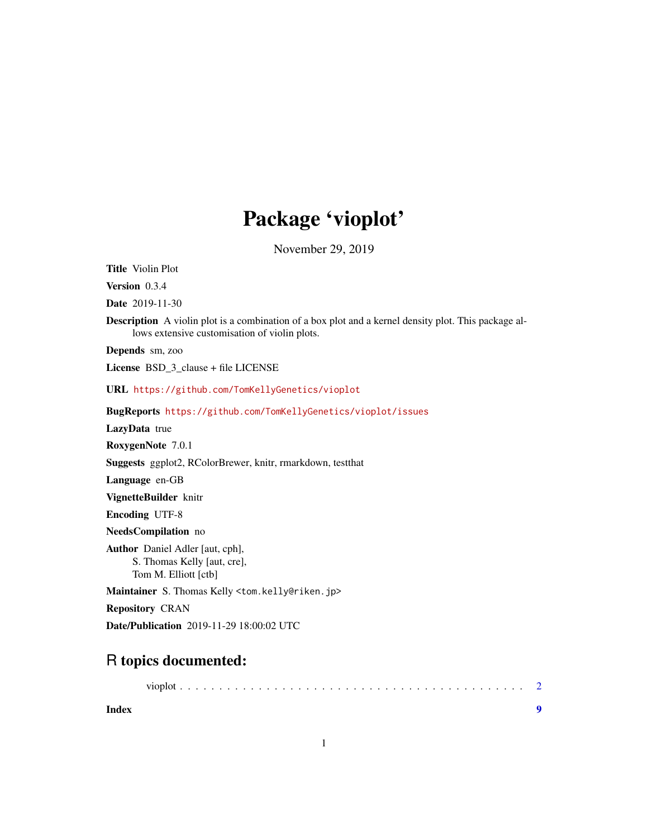# Package 'vioplot'

November 29, 2019

<span id="page-0-0"></span>Title Violin Plot Version 0.3.4 Date 2019-11-30 Description A violin plot is a combination of a box plot and a kernel density plot. This package allows extensive customisation of violin plots. Depends sm, zoo License BSD\_3\_clause + file LICENSE URL <https://github.com/TomKellyGenetics/vioplot> BugReports <https://github.com/TomKellyGenetics/vioplot/issues> LazyData true RoxygenNote 7.0.1 Suggests ggplot2, RColorBrewer, knitr, rmarkdown, testthat Language en-GB VignetteBuilder knitr Encoding UTF-8 NeedsCompilation no Author Daniel Adler [aut, cph], S. Thomas Kelly [aut, cre], Tom M. Elliott [ctb] Maintainer S. Thomas Kelly <tom.kelly@riken.jp> Repository CRAN

Date/Publication 2019-11-29 18:00:02 UTC

# R topics documented:

| Index |  |
|-------|--|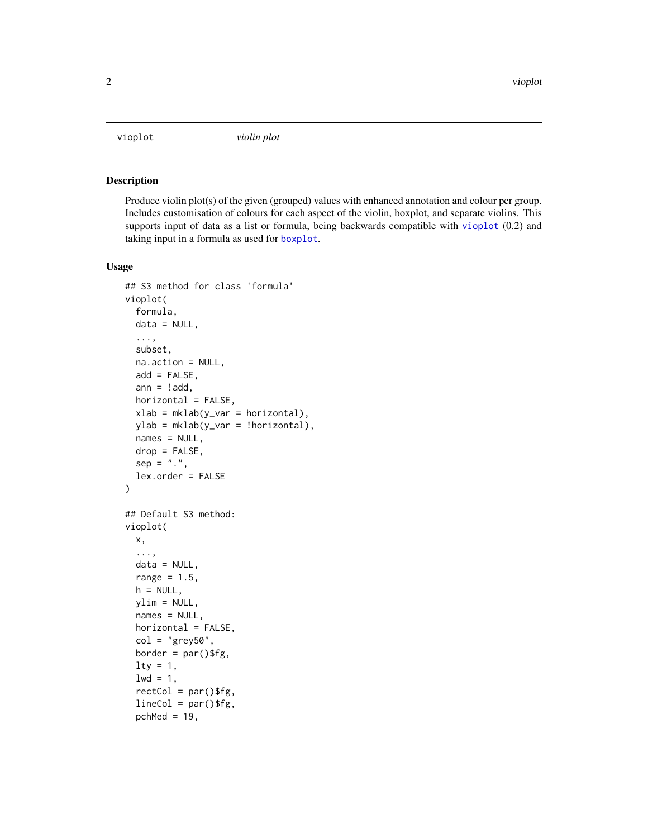<span id="page-1-1"></span><span id="page-1-0"></span>

#### Description

Produce violin plot(s) of the given (grouped) values with enhanced annotation and colour per group. Includes customisation of colours for each aspect of the violin, boxplot, and separate violins. This supports input of data as a list or formula, being backwards compatible with [vioplot](#page-1-1) (0.2) and taking input in a formula as used for [boxplot](#page-0-0).

#### Usage

```
## S3 method for class 'formula'
vioplot(
  formula,
 data = NULL,...,
  subset,
  na.action = NULL,
  add = FALSE,ann = ! add,
 horizontal = FALSE,
  xlab = mklab(y_var = horizontal),
 ylab = mklab(y_var = !horizontal),
 names = NULL,
 drop = FALSE,
  sep = "."lex.order = FALSE
)
## Default S3 method:
vioplot(
 x,
  ...,
 data = NULL,
  range = 1.5,
 h = NULL,ylim = NULL,
  names = NULL,
 horizontal = FALSE,
  col = "grey50",border = par()$fg,
  lty = 1,
  1wd = 1,
  rectCol = par()$fg,
  lineCol = par()$fg,
  pchMed = 19,
```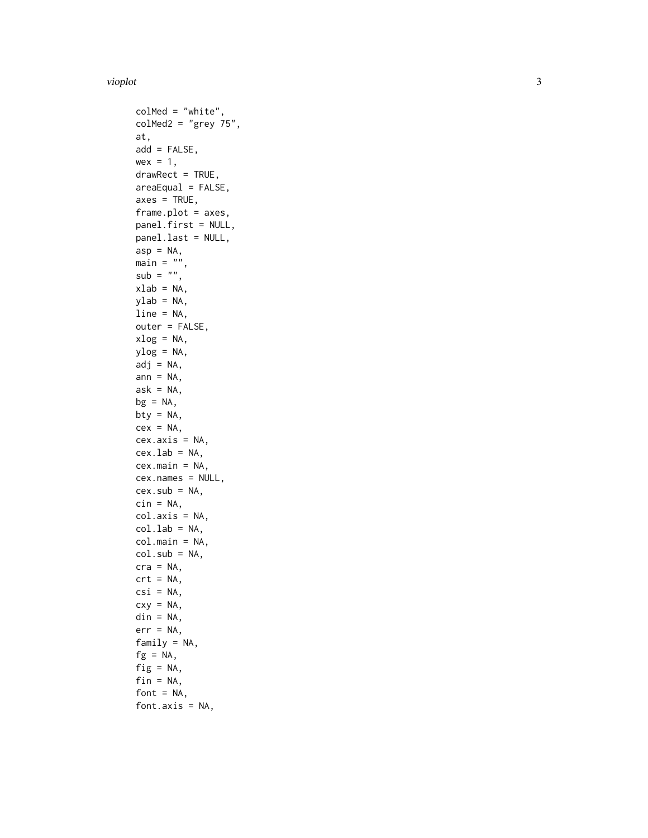#### vioplot

```
colMed = "white",
colMed2 = "grey 75",at,
add = FALSE,wex = 1,
drawRect = TRUE,areaEqual = FALSE,
axes = TRUE,frame.plot = axes,
panel.first = NULL,
panel.last = NULL,
asp = NA,main = "",sub = "",
xlab = NA,
ylab = NA,
line = NA,
outer = FALSE,
xlog = NA,
ylog = NA,
adj = NA,
ann = NA,
ask = NA,bg = NA,
bty = NA,
cex = NA,
cex.axis = NA,
cex.1ab = NA,
cex.main = NA,
cex.names = NULL,
cex.sub = NA,cin = NA,col.axis = NA,
col.lab = NA,
col.main = NA,
col.sub = NA,cra = NA,
crt = NA,
csi = NA,
cxy = NA,
\text{d}in = NA,
err = NA,
family = NA,
fg = NA,
fig = NA,fin = NA,font = NA,
font.axis = NA,
```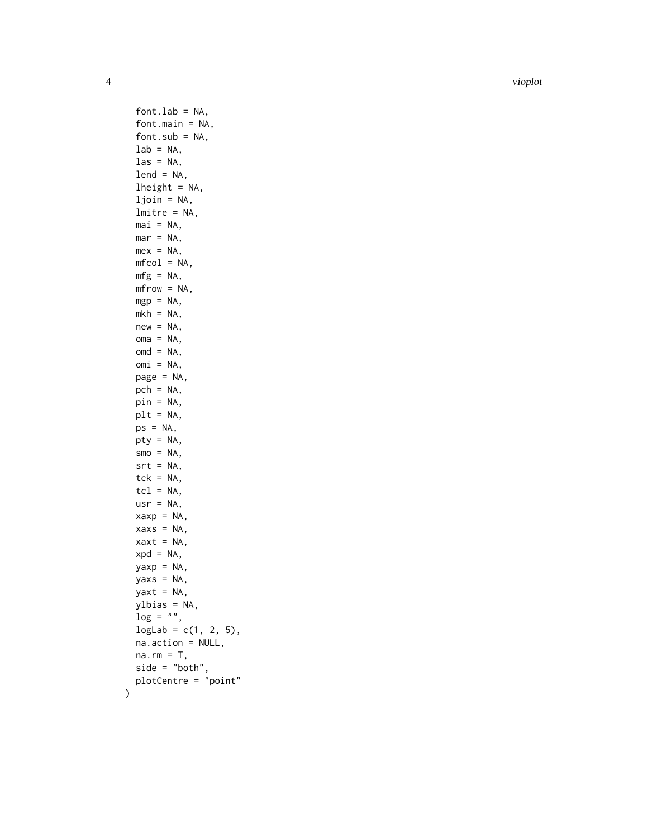4 vioplot

 $fontlab = NA,$ font.main = NA, font.sub =  $NA$ ,  $lab = NA,$  $\text{las} = \text{NA}$ ,  $lend = NA,$  $lheight = NA,$ ljoin = NA, lmitre = NA,  $\text{mai} = \text{NA}$ ,  $mar = NA$ ,  $mex = NA$ ,  $mfcol = NA$ ,  $mfg = NA$ , mfrow = NA,  $mgp = NA$ ,  $mkh = NA$ ,  $new = NA$ ,  $oma = NA$ ,  $omd = NA$ ,  $omi = NA,$ page = NA,  $pch = NA$ , pin = NA,  $plt = NA,$  $ps = NA$ , pty = NA,  $smo = NA$ ,  $srt = NA$ ,  $tck = NA,$  $tcl = NA$ ,  $usr = NA,$  $xaxy = NA$ ,  $xaxs = NA$ ,  $xaxt = NA$ ,  $xpd = NA$ ,  $yaxp = NA$ ,  $yaxs = NA$ , yaxt = NA, ylbias = NA,  $\log = "".$  $logLab = c(1, 2, 5),$ na.action = NULL,  $na.rm = T$ , side = "both", plotCentre = "point"

)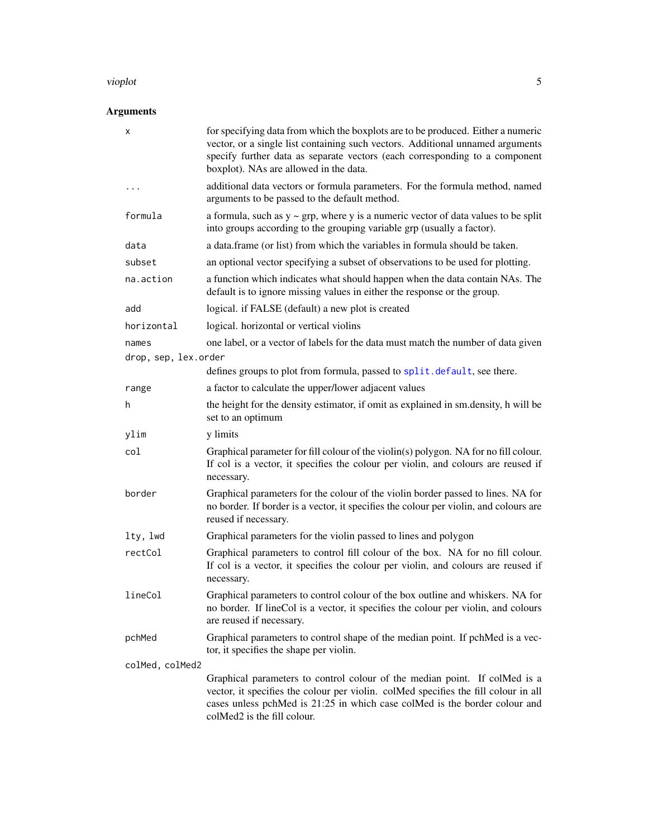#### <span id="page-4-0"></span>vioplot 5

### Arguments

| х                    | for specifying data from which the boxplots are to be produced. Either a numeric<br>vector, or a single list containing such vectors. Additional unnamed arguments<br>specify further data as separate vectors (each corresponding to a component<br>boxplot). NAs are allowed in the data. |  |
|----------------------|---------------------------------------------------------------------------------------------------------------------------------------------------------------------------------------------------------------------------------------------------------------------------------------------|--|
| .                    | additional data vectors or formula parameters. For the formula method, named<br>arguments to be passed to the default method.                                                                                                                                                               |  |
| formula              | a formula, such as $y \sim grp$ , where y is a numeric vector of data values to be split<br>into groups according to the grouping variable grp (usually a factor).                                                                                                                          |  |
| data                 | a data. frame (or list) from which the variables in formula should be taken.                                                                                                                                                                                                                |  |
| subset               | an optional vector specifying a subset of observations to be used for plotting.                                                                                                                                                                                                             |  |
| na.action            | a function which indicates what should happen when the data contain NAs. The<br>default is to ignore missing values in either the response or the group.                                                                                                                                    |  |
| add                  | logical. if FALSE (default) a new plot is created                                                                                                                                                                                                                                           |  |
| horizontal           | logical. horizontal or vertical violins                                                                                                                                                                                                                                                     |  |
| names                | one label, or a vector of labels for the data must match the number of data given                                                                                                                                                                                                           |  |
| drop, sep, lex.order |                                                                                                                                                                                                                                                                                             |  |
|                      | defines groups to plot from formula, passed to split.default, see there.                                                                                                                                                                                                                    |  |
| range                | a factor to calculate the upper/lower adjacent values                                                                                                                                                                                                                                       |  |
| h                    | the height for the density estimator, if omit as explained in sm.density, h will be<br>set to an optimum                                                                                                                                                                                    |  |
| ylim                 | y limits                                                                                                                                                                                                                                                                                    |  |
| col                  | Graphical parameter for fill colour of the violin(s) polygon. NA for no fill colour.<br>If col is a vector, it specifies the colour per violin, and colours are reused if<br>necessary.                                                                                                     |  |
| border               | Graphical parameters for the colour of the violin border passed to lines. NA for<br>no border. If border is a vector, it specifies the colour per violin, and colours are<br>reused if necessary.                                                                                           |  |
| lty, lwd             | Graphical parameters for the violin passed to lines and polygon                                                                                                                                                                                                                             |  |
| rectCol              | Graphical parameters to control fill colour of the box. NA for no fill colour.<br>If col is a vector, it specifies the colour per violin, and colours are reused if<br>necessary.                                                                                                           |  |
| lineCol              | Graphical parameters to control colour of the box outline and whiskers. NA for<br>no border. If lineCol is a vector, it specifies the colour per violin, and colours<br>are reused if necessary.                                                                                            |  |
| pchMed               | Graphical parameters to control shape of the median point. If pchMed is a vec-<br>tor, it specifies the shape per violin.                                                                                                                                                                   |  |
| colMed, colMed2      |                                                                                                                                                                                                                                                                                             |  |
|                      | Graphical parameters to control colour of the median point. If colMed is a<br>vector, it specifies the colour per violin. colMed specifies the fill colour in all<br>cases unless pchMed is 21:25 in which case colMed is the border colour and<br>colMed2 is the fill colour.              |  |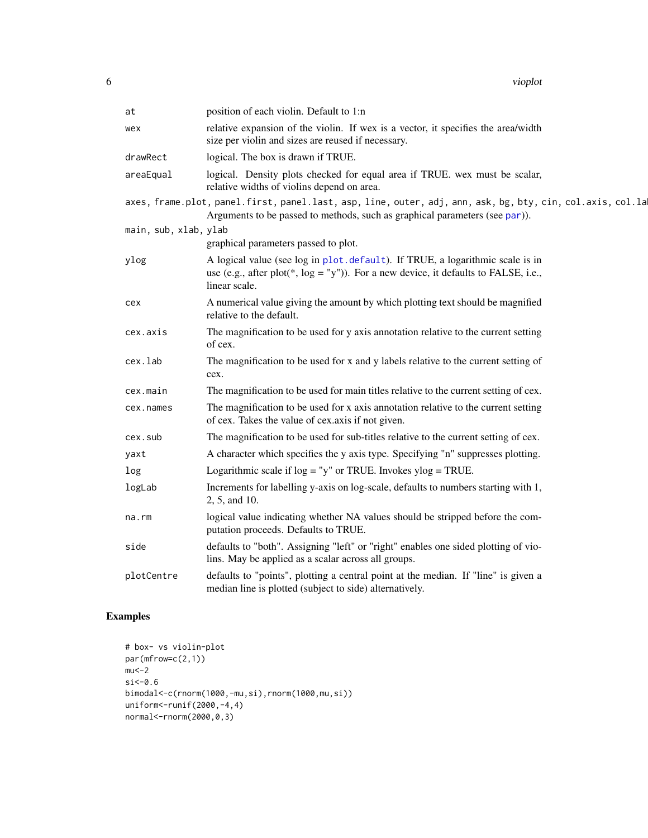<span id="page-5-0"></span>

| at                    | position of each violin. Default to 1:n                                                                                                                                                   |
|-----------------------|-------------------------------------------------------------------------------------------------------------------------------------------------------------------------------------------|
| wex                   | relative expansion of the violin. If wex is a vector, it specifies the area/width<br>size per violin and sizes are reused if necessary.                                                   |
| drawRect              | logical. The box is drawn if TRUE.                                                                                                                                                        |
| areaEqual             | logical. Density plots checked for equal area if TRUE. wex must be scalar,<br>relative widths of violins depend on area.                                                                  |
|                       | axes, frame.plot, panel.first, panel.last, asp, line, outer, adj, ann, ask, bg, bty, cin, col.axis, col.la<br>Arguments to be passed to methods, such as graphical parameters (see par)). |
| main, sub, xlab, ylab |                                                                                                                                                                                           |
|                       | graphical parameters passed to plot.                                                                                                                                                      |
| ylog                  | A logical value (see log in plot.default). If TRUE, a logarithmic scale is in<br>use (e.g., after plot(*, $log = "y")$ ). For a new device, it defaults to FALSE, i.e.,<br>linear scale.  |
| cex                   | A numerical value giving the amount by which plotting text should be magnified<br>relative to the default.                                                                                |
| cex.axis              | The magnification to be used for y axis annotation relative to the current setting<br>of cex.                                                                                             |
| cex.lab               | The magnification to be used for x and y labels relative to the current setting of<br>cex.                                                                                                |
| cex.main              | The magnification to be used for main titles relative to the current setting of cex.                                                                                                      |
| cex.names             | The magnification to be used for x axis annotation relative to the current setting<br>of cex. Takes the value of cex.axis if not given.                                                   |
| cex.sub               | The magnification to be used for sub-titles relative to the current setting of cex.                                                                                                       |
| yaxt                  | A character which specifies the y axis type. Specifying "n" suppresses plotting.                                                                                                          |
| log                   | Logarithmic scale if $log = "y"$ or TRUE. Invokes $ylog = TRUE$ .                                                                                                                         |
| logLab                | Increments for labelling y-axis on log-scale, defaults to numbers starting with 1,<br>2, 5, and 10.                                                                                       |
| na.rm                 | logical value indicating whether NA values should be stripped before the com-<br>putation proceeds. Defaults to TRUE.                                                                     |
| side                  | defaults to "both". Assigning "left" or "right" enables one sided plotting of vio-<br>lins. May be applied as a scalar across all groups.                                                 |
| plotCentre            | defaults to "points", plotting a central point at the median. If "line" is given a<br>median line is plotted (subject to side) alternatively.                                             |

## Examples

```
# box- vs violin-plot
par(mfrow=c(2,1))
mu < -2si<-0.6
bimodal<-c(rnorm(1000,-mu,si),rnorm(1000,mu,si))
uniform<-runif(2000,-4,4)
normal<-rnorm(2000,0,3)
```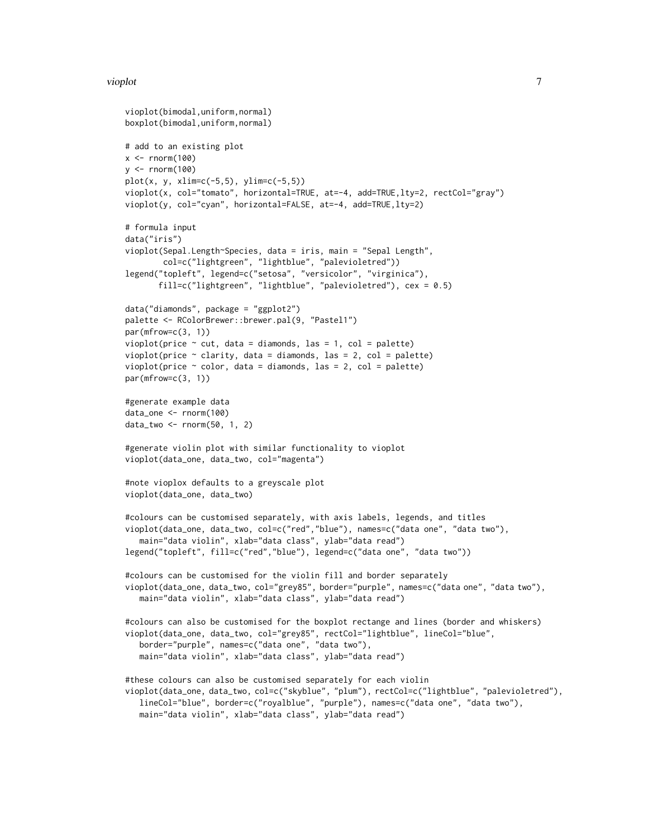#### vioplot the contract of the contract of the contract of the contract of the contract of the contract of the contract of the contract of the contract of the contract of the contract of the contract of the contract of the co

```
vioplot(bimodal,uniform,normal)
boxplot(bimodal,uniform,normal)
# add to an existing plot
x < - rnorm(100)
y \le - rnorm(100)plot(x, y, xlim=c(-5,5), ylim=c(-5,5))vioplot(x, col="tomato", horizontal=TRUE, at=-4, add=TRUE, lty=2, rectCol="gray")
vioplot(y, col="cyan", horizontal=FALSE, at=-4, add=TRUE,lty=2)
# formula input
data("iris")
vioplot(Sepal.Length~Species, data = iris, main = "Sepal Length",
        col=c("lightgreen", "lightblue", "palevioletred"))
legend("topleft", legend=c("setosa", "versicolor", "virginica"),
       fill=c("lightgreen", "lightblue", "palevioletred"), cex = 0.5)
data("diamonds", package = "ggplot2")
palette <- RColorBrewer::brewer.pal(9, "Pastel1")
par(mfrow=c(3, 1))
vioplot(price \sim cut, data = diamonds, las = 1, col = palette)
vioplot(price \sim clarity, data = diamonds, las = 2, col = palette)
vioplot(price \sim color, data = diamonds, las = 2, col = palette)
par(mfrow=c(3, 1))
#generate example data
data_one <- rnorm(100)
data_two <- rnorm(50, 1, 2)
#generate violin plot with similar functionality to vioplot
vioplot(data_one, data_two, col="magenta")
#note vioplox defaults to a greyscale plot
vioplot(data_one, data_two)
#colours can be customised separately, with axis labels, legends, and titles
vioplot(data_one, data_two, col=c("red","blue"), names=c("data one", "data two"),
   main="data violin", xlab="data class", ylab="data read")
legend("topleft", fill=c("red","blue"), legend=c("data one", "data two"))
#colours can be customised for the violin fill and border separately
vioplot(data_one, data_two, col="grey85", border="purple", names=c("data one", "data two"),
   main="data violin", xlab="data class", ylab="data read")
#colours can also be customised for the boxplot rectange and lines (border and whiskers)
vioplot(data_one, data_two, col="grey85", rectCol="lightblue", lineCol="blue",
   border="purple", names=c("data one", "data two"),
   main="data violin", xlab="data class", ylab="data read")
#these colours can also be customised separately for each violin
vioplot(data_one, data_two, col=c("skyblue", "plum"), rectCol=c("lightblue", "palevioletred"),
   lineCol="blue", border=c("royalblue", "purple"), names=c("data one", "data two"),
   main="data violin", xlab="data class", ylab="data read")
```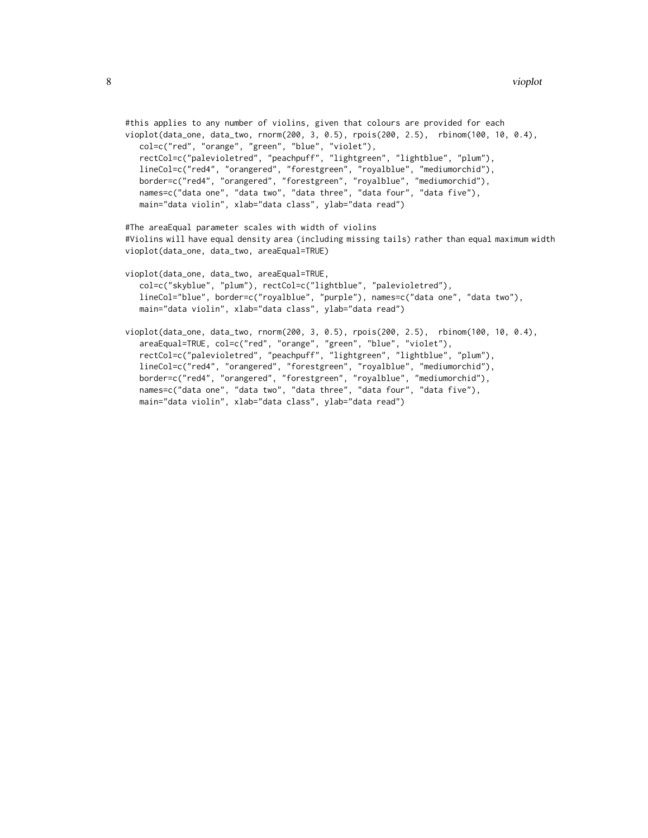```
#this applies to any number of violins, given that colours are provided for each
vioplot(data_one, data_two, rnorm(200, 3, 0.5), rpois(200, 2.5), rbinom(100, 10, 0.4),
  col=c("red", "orange", "green", "blue", "violet"),
  rectCol=c("palevioletred", "peachpuff", "lightgreen", "lightblue", "plum"),
  lineCol=c("red4", "orangered", "forestgreen", "royalblue", "mediumorchid"),
  border=c("red4", "orangered", "forestgreen", "royalblue", "mediumorchid"),
  names=c("data one", "data two", "data three", "data four", "data five"),
  main="data violin", xlab="data class", ylab="data read")
#The areaEqual parameter scales with width of violins
#Violins will have equal density area (including missing tails) rather than equal maximum width
vioplot(data_one, data_two, areaEqual=TRUE)
vioplot(data_one, data_two, areaEqual=TRUE,
   col=c("skyblue", "plum"), rectCol=c("lightblue", "palevioletred"),
  lineCol="blue", border=c("royalblue", "purple"), names=c("data one", "data two"),
  main="data violin", xlab="data class", ylab="data read")
vioplot(data_one, data_two, rnorm(200, 3, 0.5), rpois(200, 2.5), rbinom(100, 10, 0.4),
   areaEqual=TRUE, col=c("red", "orange", "green", "blue", "violet"),
   rectCol=c("palevioletred", "peachpuff", "lightgreen", "lightblue", "plum"),
  lineCol=c("red4", "orangered", "forestgreen", "royalblue", "mediumorchid"),
   border=c("red4", "orangered", "forestgreen", "royalblue", "mediumorchid"),
```
names=c("data one", "data two", "data three", "data four", "data five"),

main="data violin", xlab="data class", ylab="data read")